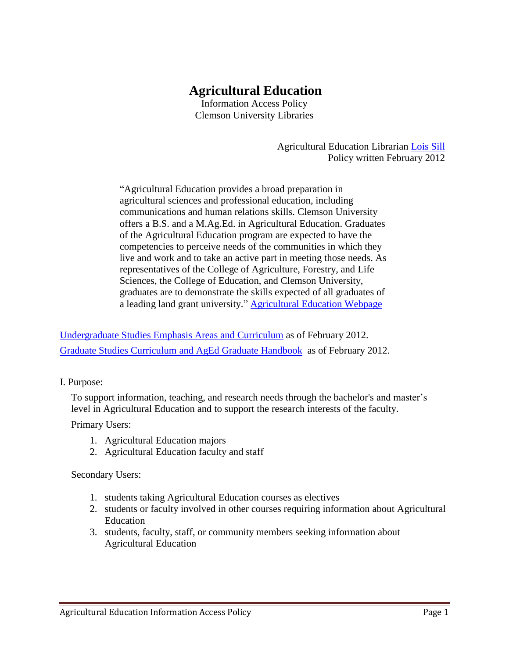# **Agricultural Education**

Information Access Policy Clemson University Libraries

> Agricultural Education Librarian [Lois Sill](mailto:slois@clemson.edu) Policy written February 2012

"Agricultural Education provides a broad preparation in agricultural sciences and professional education, including communications and human relations skills. Clemson University offers a B.S. and a M.Ag.Ed. in Agricultural Education. Graduates of the Agricultural Education program are expected to have the competencies to perceive needs of the communities in which they live and work and to take an active part in meeting those needs. As representatives of the College of Agriculture, Forestry, and Life Sciences, the College of Education, and Clemson University, graduates are to demonstrate the skills expected of all graduates of a leading land grant university." [Agricultural Education](http://www.clemson.edu/cafls/safes/aged/graduate/index.html) Webpage

[Undergraduate Studies Emphasis Areas and Curriculum](http://www.clemson.edu/cafls/safes/aged/undergraduate/index.html) as of February 2012. [Graduate Studies Curriculum](http://www.clemson.edu/cafls/safes/aged/graduate/index.html) and AgEd Graduate Hand[book](http://www.clemson.edu/cafls/safes/aged/graduate/index.html) as of February 2012.

I. Purpose:

To support information, teaching, and research needs through the bachelor's and master's level in Agricultural Education and to support the research interests of the faculty.

Primary Users:

- 1. Agricultural Education majors
- 2. Agricultural Education faculty and staff

Secondary Users:

- 1. students taking Agricultural Education courses as electives
- 2. students or faculty involved in other courses requiring information about Agricultural Education
- 3. students, faculty, staff, or community members seeking information about Agricultural Education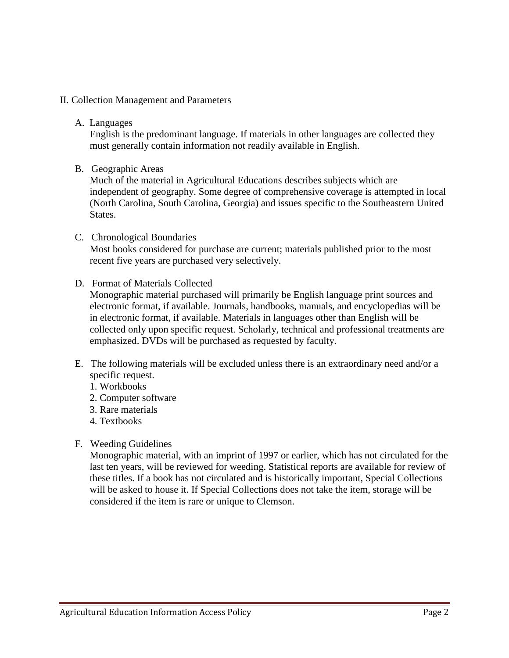## II. Collection Management and Parameters

A. Languages

English is the predominant language. If materials in other languages are collected they must generally contain information not readily available in English.

B. Geographic Areas

Much of the material in Agricultural Educations describes subjects which are independent of geography. Some degree of comprehensive coverage is attempted in local (North Carolina, South Carolina, Georgia) and issues specific to the Southeastern United States.

## C. Chronological Boundaries

Most books considered for purchase are current; materials published prior to the most recent five years are purchased very selectively.

D. Format of Materials Collected

Monographic material purchased will primarily be English language print sources and electronic format, if available. Journals, handbooks, manuals, and encyclopedias will be in electronic format, if available. Materials in languages other than English will be collected only upon specific request. Scholarly, technical and professional treatments are emphasized. DVDs will be purchased as requested by faculty.

- E. The following materials will be excluded unless there is an extraordinary need and/or a specific request.
	- 1. Workbooks
	- 2. Computer software
	- 3. Rare materials
	- 4. Textbooks
- F. Weeding Guidelines

Monographic material, with an imprint of 1997 or earlier, which has not circulated for the last ten years, will be reviewed for weeding. Statistical reports are available for review of these titles. If a book has not circulated and is historically important, Special Collections will be asked to house it. If Special Collections does not take the item, storage will be considered if the item is rare or unique to Clemson.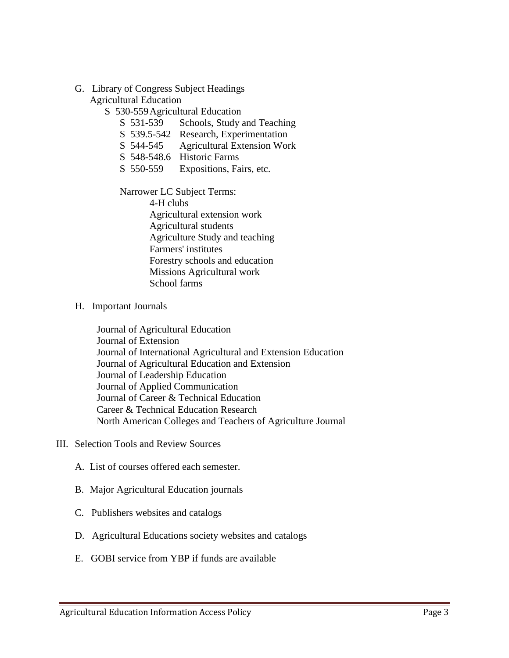- G. Library of Congress Subject Headings Agricultural Education
	- S 530-559Agricultural Education
		- S 531-539 Schools, Study and Teaching
		- S 539.5-542 Research, Experimentation
		- S 544-545 Agricultural Extension Work
		- S 548-548.6 Historic Farms
		- S 550-559 Expositions, Fairs, etc.

Narrower LC Subject Terms:

4-H clubs Agricultural extension work Agricultural students Agriculture Study and teaching Farmers' institutes Forestry schools and education Missions Agricultural work School farms

## H. Important Journals

Journal of Agricultural Education Journal of Extension Journal of International Agricultural and Extension Education Journal of Agricultural Education and Extension Journal of Leadership Education Journal of Applied Communication Journal of Career & Technical Education Career & Technical Education Research North American Colleges and Teachers of Agriculture Journal

### III. Selection Tools and Review Sources

- A. List of courses offered each semester.
- B. Major Agricultural Education journals
- C. Publishers websites and catalogs
- D. Agricultural Educations society websites and catalogs
- E. GOBI service from YBP if funds are available